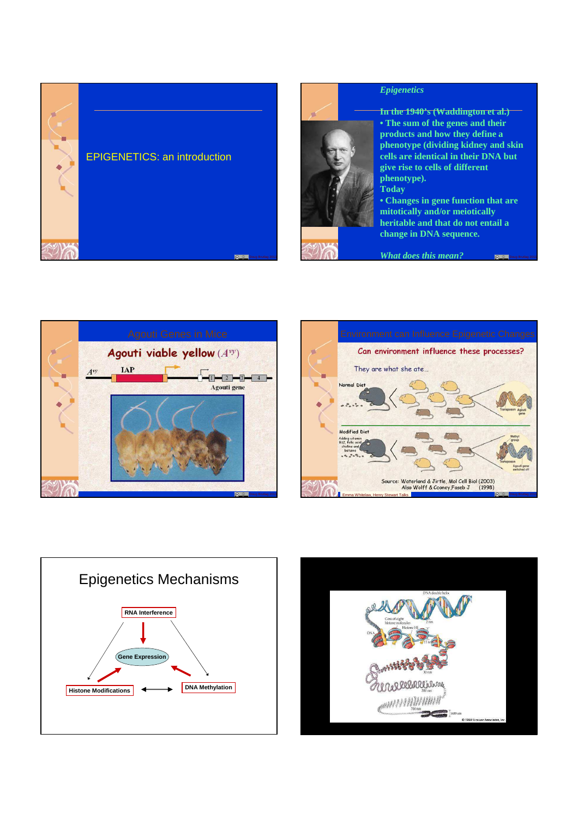



#### *Epigenetics*

**In the 1940's (Waddington et al.) • The sum of the genes and their products and how they define a phenotype (dividing kidney and skin cells are identical in their DNA but give rise to cells of different phenotype). Today**

**• Changes in gene function that are mitotically and/or meiotically heritable and that do not entail a change in DNA sequence.**



*What does this mean?*







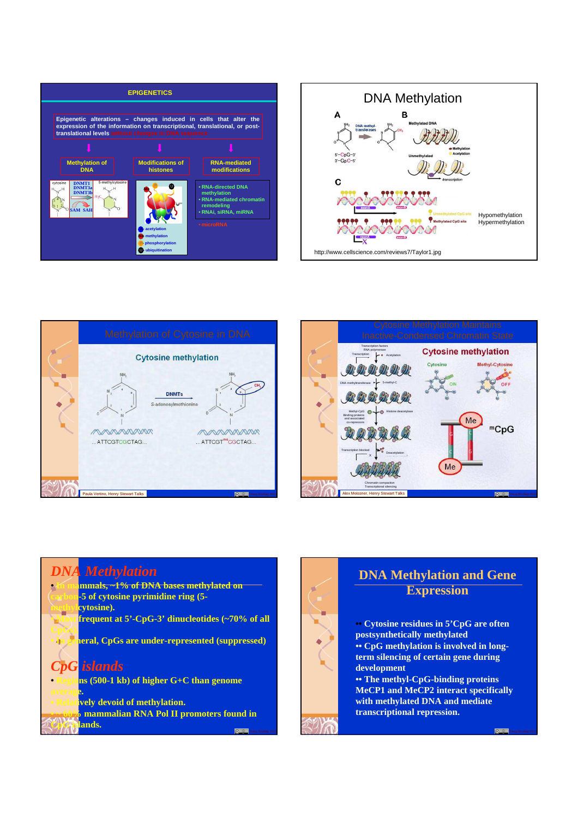







### *DNA Methylation* **mmals, ~1% of DNA bases methylated on carbon-5 of cytosine pyrimidine ring (5 cytosine).** frequent at 5'-CpG-3' dinucleotides (~70% of all **CpGs). • In general, CpGs are under-represented (suppressed)** *CpG islands* **• Regions (500-1 kb) of higher G+C than genome average.** *<u>kively</u>* devoid of methylation. **mammalian RNA Pol II promoters found in**

**CpG islands.**

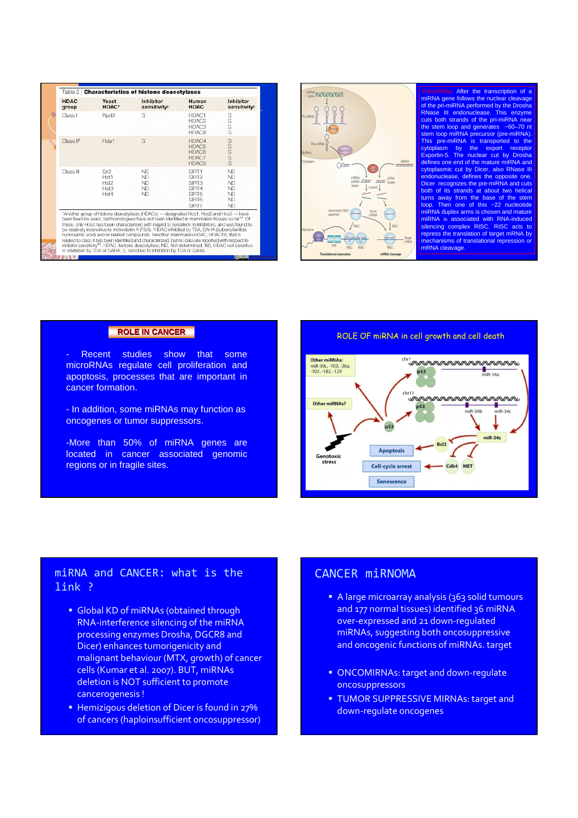



After the transcription of lows the nuclear cl of the pri-miRNA performed by the Drosha RNase III endonuclease. This enzyme cuts both strands of the pri-miRNA near  $t$ tem loop and generates  $~100$ stem loop miRNA precursor (pre-miRNA). This pre-miRNA is transported to the cytoplasm by the export receptor Exportin-5. The nuclear cut by Drosha defines one end of the mature miRNA and cytoplasmic cut by Dicer, also RNase III endonuclease, defines the opposite one. recognizes the pre-miRNA and strands at about tv turns away from the base of the stem loop. Then one of this ~22 nucleotide duplex arms is cho miRNA is associated with RNA-induced silencing complex RISC. RISC acts to repress the translation of target mRNA by mechanisms of translational repression or mRNA cleavage.

Recent studies show that some microRNAs regulate cell proliferation and apoptosis, processes that are important in cancer formation.

- In addition, some miRNAs may function as oncogenes or tumor suppressors.

-More than 50% of miRNA genes are located in cancer associated genomic regions or in fragile sites.

**ROLE IN CANCER ROLE IN CANCER ROLE OF miRNA in cell growth and cell death** 



## miRNA and CANCER: what is the link ?

- Global KD of miRNAs (obtained through RNA-interference silencing of the miRNA processing enzymes Drosha, DGCR8 and Dicer) enhances tumorigenicity and malignant behaviour (MTX, growth) of cancer cells (Kumar et al. 2007). BUT, miRNAs deletion is NOT sufficient to promote cancerogenesis !
- **Hemizigous deletion of Dicer is found in 27%** of cancers (haploinsufficient oncosuppressor)

### CANCER miRNOMA

- A large microarray analysis (363 solid tumours and 177 normal tissues) identified 36 miRNA over-expressed and 21 down-regulated miRNAs, suggesting both oncosuppressive and oncogenic functions of miRNAs. target
- **ONCOMIRNAs: target and down-regulate** oncosuppressors
- **TUMOR SUPPRESSIVE MIRNAs: target and** down-regulate oncogenes